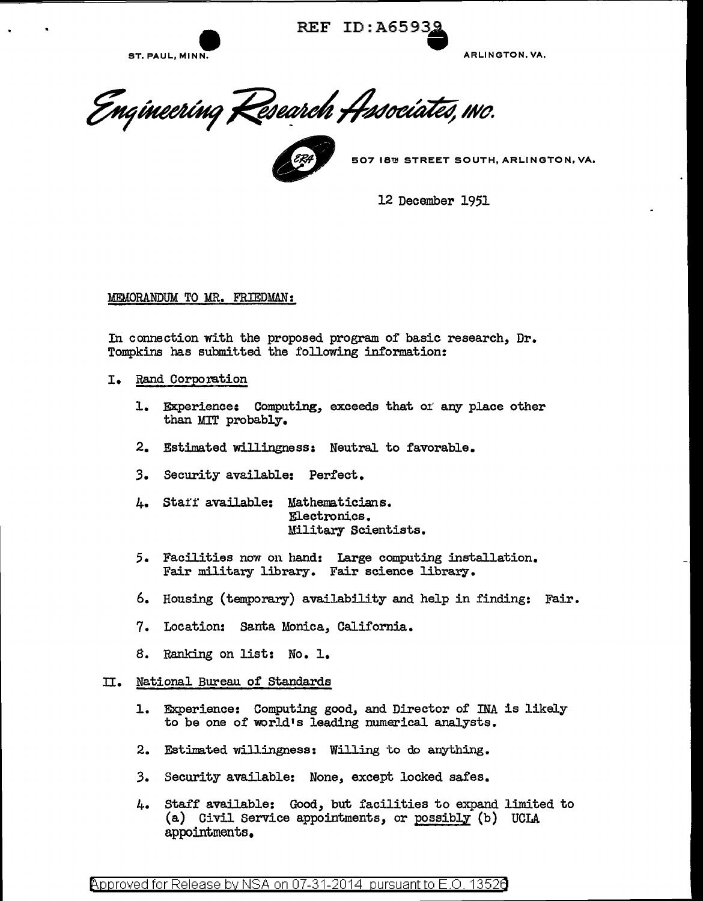

REF ID: A65938

Engineering Research Associates, INO.



12 December 1951

MEMORANDUM TO MR. FRIEDMAN:

In connection with the proposed program of basic research, Dr. Tompkins has submitted the following information:

- I. Rand Corporation
	- 1. Experience: Computing, exceeds that of any place other than MIT probably.
	- 2. Estimated willingness: Neutral to favorable.
	- *3.* Security available: Perfect.
	- 4. Staff available: Mathematicians. Electronics. 1lilitary Scientists.
	- 5. Facilities now on hand: Large computing installation. Fair military library. Fair science library.
	- 6. Housing (temporary) availability and help in finding: Fair.
	- 7. Location: Santa Monica, California.
	- 8. Ranking on list: No. 1.

## II. National Bureau of Standards

- 1. Experience: Computing good, and Director of INA is likely to be one of world's leading nwnerical analysts.
- 2. Estimated willingness: Willing to do anything.
- *3.* Security available: None, except locked safes.
- 4. Staff available: Good, but facilities to expand limited to (a) Civil Service appointments, or possibly (b) UCLA appointments.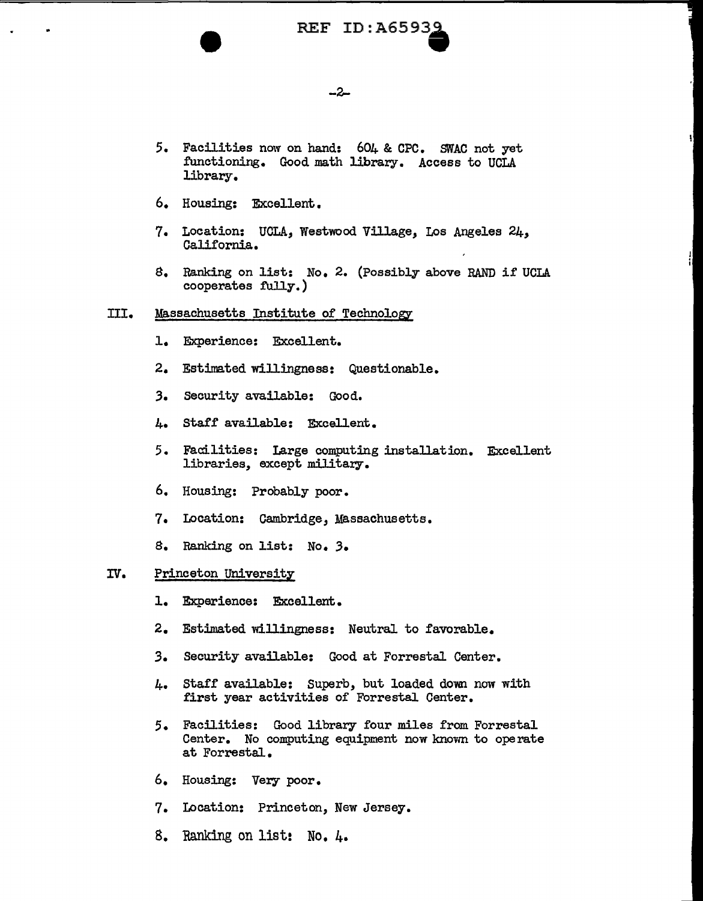# REF ID:A6593<u>9</u>

## -2-

- 5. Facilities now on hand:  $604$  & CPC. SWAC not yet functioning. Good math library. Access to UCLA library.
- 6. Housing: Excellent.
- 7. Location: UCLA, Westwood Village, Los Angeles 24, California.
- 8. Ranking on list: No. 2. (Possibly above RAND if UCLA cooperates fully.)

#### III. Massachusetts Institute of Technology

- 1. Experience: Excellent.
- 2. Estimated willingness: Questionable.
- 3. Security available: Good.
- 4. Staff available: Excellent.
- 5. Facilities: Large computing installation. Excellent libraries, except military.
- 6. Housing: Probably poor.
- 7. Location: Cambridge, Massachusetts.
- 8. Ranking on list: No. *3.*

#### IV. Princeton University

- 1. Experience: Excellent.
- 2. Estimated willingness: Neutral to favorable.
- *3.* Security available: Good at Forrestal Center.
- 4. Staff available: Superb, but loaded down now with first year activities of Forrestal Center.
- 5. Facilities: Good library four miles from Forrestal Center. No computing equipment now knovm to operate at Forrestal.
- 6. Housing: Very poor.
- 7. Location: Princeton, New Jersey.
- 8. Ranking on list: No. 4.